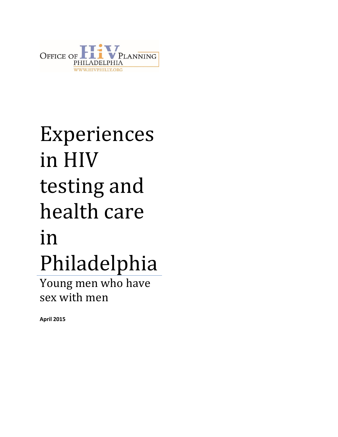

# Experiences in HIV testing and health care in Philadelphia

Young men who have sex with men

**April 2015**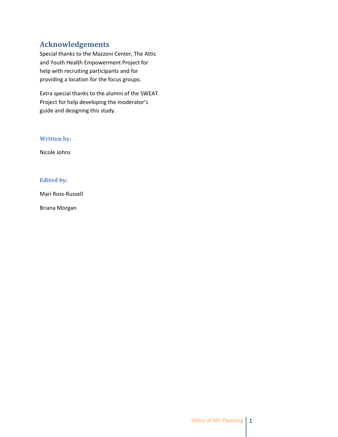## **Acknowledgements**

Special thanks to the Mazzoni Center, The Attic and Youth Health Empowerment Project for help with recruiting participants and for providing a location for the focus groups.

Extra special thanks to the alumni of the SWEAT Project for help developing the moderator's guide and designing this study.

#### **Written by:**

Nicole Johns

#### **Edited by:**

Mari Ross-Russell

Briana Morgan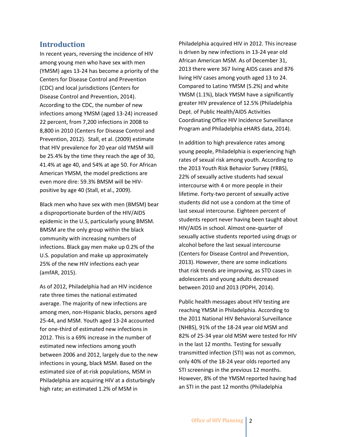#### **Introduction**

In recent years, reversing the incidence of HIV among young men who have sex with men (YMSM) ages 13-24 has become a priority of the Centers for Disease Control and Prevention (CDC) and local jurisdictions (Centers for Disease Control and Prevention, 2014). According to the CDC, the number of new infections among YMSM (aged 13-24) increased 22 percent, from 7,200 infections in 2008 to 8,800 in 2010 (Centers for Disease Control and Prevention, 2012). Stall, et al. (2009) estimate that HIV prevalence for 20 year old YMSM will be 25.4% by the time they reach the age of 30, 41.4% at age 40, and 54% at age 50. For African American YMSM, the model predictions are even more dire: 59.3% BMSM will be HIVpositive by age 40 (Stall, et al., 2009).

Black men who have sex with men (BMSM) bear a disproportionate burden of the HIV/AIDS epidemic in the U.S, particularly young BMSM. BMSM are the only group within the black community with increasing numbers of infections. Black gay men make up 0.2% of the U.S. population and make up approximately 25% of the new HIV infections each year (amfAR, 2015).

As of 2012, Philadelphia had an HIV incidence rate three times the national estimated average. The majority of new infections are among men, non-Hispanic blacks, persons aged 25-44, and MSM. Youth aged 13-24 accounted for one-third of estimated new infections in 2012. This is a 69% increase in the number of estimated new infections among youth between 2006 and 2012, largely due to the new infections in young, black MSM. Based on the estimated size of at-risk populations, MSM in Philadelphia are acquiring HIV at a disturbingly high rate; an estimated 1.2% of MSM in

Philadelphia acquired HIV in 2012. This increase is driven by new infections in 13-24 year old African American MSM. As of December 31, 2013 there were 367 living AIDS cases and 876 living HIV cases among youth aged 13 to 24. Compared to Latino YMSM (5.2%) and white YMSM (1.1%), black YMSM have a significantly greater HIV prevalence of 12.5% (Philadelphia Dept. of Public Health/AIDS Activities Coordinating Office HIV Incidence Surveillance Program and Philadelphia eHARS data, 2014).

In addition to high prevalence rates among young people, Philadelphia is experiencing high rates of sexual risk among youth. According to the 2013 Youth Risk Behavior Survey (YRBS), 22% of sexually active students had sexual intercourse with 4 or more people in their lifetime. Forty-two percent of sexually active students did not use a condom at the time of last sexual intercourse. Eighteen percent of students report never having been taught about HIV/AIDS in school. Almost one-quarter of sexually active students reported using drugs or alcohol before the last sexual intercourse (Centers for Disease Control and Prevention, 2013). However, there are some indications that risk trends are improving, as STD cases in adolescents and young adults decreased between 2010 and 2013 (PDPH, 2014).

Public health messages about HIV testing are reaching YMSM in Philadelphia. According to the 2011 National HIV Behavioral Surveillance (NHBS), 91% of the 18-24 year old MSM and 82% of 25-34 year old MSM were tested for HIV in the last 12 months. Testing for sexually transmitted infection (STI) was not as common, only 40% of the 18-24 year olds reported any STI screenings in the previous 12 months. However, 8% of the YMSM reported having had an STI in the past 12 months (Philadelphia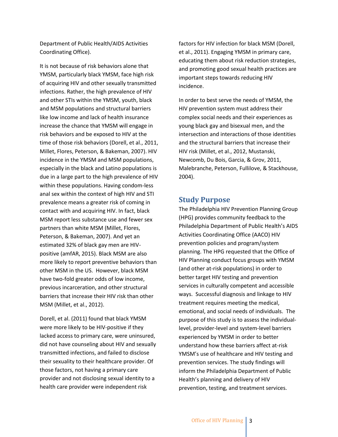Department of Public Health/AIDS Activities Coordinating Office).

It is not because of risk behaviors alone that YMSM, particularly black YMSM, face high risk of acquiring HIV and other sexually transmitted infections. Rather, the high prevalence of HIV and other STIs within the YMSM, youth, black and MSM populations and structural barriers like low income and lack of health insurance increase the chance that YMSM will engage in risk behaviors and be exposed to HIV at the time of those risk behaviors (Dorell, et al., 2011, Millet, Flores, Peterson, & Bakeman, 2007). HIV incidence in the YMSM and MSM populations, especially in the black and Latino populations is due in a large part to the high prevalence of HIV within these populations. Having condom-less anal sex within the context of high HIV and STI prevalence means a greater risk of coming in contact with and acquiring HIV. In fact, black MSM report less substance use and fewer sex partners than white MSM (Millet, Flores, Peterson, & Bakeman, 2007). And yet an estimated 32% of black gay men are HIVpositive (amfAR, 2015). Black MSM are also more likely to report preventive behaviors than other MSM in the US. However, black MSM have two-fold greater odds of low income, previous incarceration, and other structural barriers that increase their HIV risk than other MSM (Millet, et al., 2012).

Dorell, et al. (2011) found that black YMSM were more likely to be HIV-positive if they lacked access to primary care, were uninsured, did not have counseling about HIV and sexually transmitted infections, and failed to disclose their sexuality to their healthcare provider. Of those factors, not having a primary care provider and not disclosing sexual identity to a health care provider were independent risk

factors for HIV infection for black MSM (Dorell, et al., 2011). Engaging YMSM in primary care, educating them about risk reduction strategies, and promoting good sexual health practices are important steps towards reducing HIV incidence.

In order to best serve the needs of YMSM, the HIV prevention system must address their complex social needs and their experiences as young black gay and bisexual men, and the intersection and interactions of those identities and the structural barriers that increase their HIV risk (Millet, et al., 2012, Mustanski, Newcomb, Du Bois, Garcia, & Grov, 2011, Malebranche, Peterson, Fullilove, & Stackhouse, 2004).

#### **Study Purpose**

The Philadelphia HIV Prevention Planning Group (HPG) provides community feedback to the Philadelphia Department of Public Health's AIDS Activities Coordinating Office (AACO) HIV prevention policies and program/system planning. The HPG requested that the Office of HIV Planning conduct focus groups with YMSM (and other at-risk populations) in order to better target HIV testing and prevention services in culturally competent and accessible ways. Successful diagnosis and linkage to HIV treatment requires meeting the medical, emotional, and social needs of individuals. The purpose of this study is to assess the individuallevel, provider-level and system-level barriers experienced by YMSM in order to better understand how these barriers affect at-risk YMSM's use of healthcare and HIV testing and prevention services. The study findings will inform the Philadelphia Department of Public Health's planning and delivery of HIV prevention, testing, and treatment services.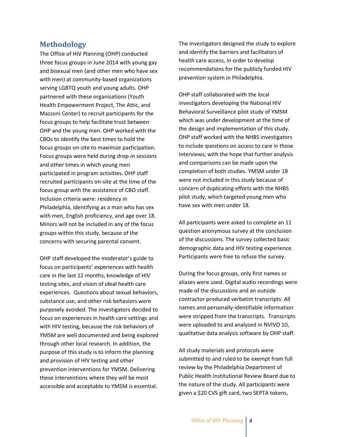#### **Methodology**

The Office of HIV Planning (OHP) conducted three focus groups in June 2014 with young gay and bisexual men (and other men who have sex with men) at community-based organizations serving LGBTQ youth and young adults. OHP partnered with these organizations (Youth Health Empowerment Project, The Attic, and Mazzoni Center) to recruit participants for the focus groups to help facilitate trust between OHP and the young men. OHP worked with the CBOs to identify the best times to hold the focus groups on-site to maximize participation. Focus groups were held during drop-in sessions and other times in which young men participated in program activities. OHP staff recruited participants on-site at the time of the focus group with the assistance of CBO staff. Inclusion criteria were: residency in Philadelphia, identifying as a man who has sex with men, English proficiency, and age over 18. Minors will not be included in any of the focus groups within this study, because of the concerns with securing parental consent.

OHP staff developed the moderator's guide to focus on participants' experiences with health care in the last 12 months, knowledge of HIV testing sites, and vision of ideal health care experiences. Questions about sexual behaviors, substance use, and other risk behaviors were purposely avoided. The investigators decided to focus on experiences in health care settings and with HIV testing, because the risk behaviors of YMSM are well documented and being explored through other local research. In addition, the purpose of this study is to inform the planning and provision of HIV testing and other prevention interventions for YMSM. Delivering these interventions where they will be most accessible and acceptable to YMSM is essential.

The investigators designed the study to explore and identify the barriers and facilitators of health care access, in order to develop recommendations for the publicly funded HIV prevention system in Philadelphia.

OHP staff collaborated with the local investigators developing the National HIV Behavioral Surveillance pilot study of YMSM which was under development at the time of the design and implementation of this study. OHP staff worked with the NHBS investigators to include questions on access to care in those interviews; with the hope that further analysis and comparisons can be made upon the completion of both studies. YMSM under 18 were not included in this study because of concern of duplicating efforts with the NHBS pilot study, which targeted young men who have sex with men under 18.

All participants were asked to complete an 11 question anonymous survey at the conclusion of the discussions. The survey collected basic demographic data and HIV testing experience. Participants were free to refuse the survey.

During the focus groups, only first names or aliases were used. Digital audio recordings were made of the discussions and an outside contractor produced verbatim transcripts. All names and personally-identifiable information were stripped from the transcripts. Transcripts were uploaded to and analyzed in NVIVO 10, qualitative data analysis software by OHP staff.

All study materials and protocols were submitted to and ruled to be exempt from full review by the Philadelphia Department of Public Health Institutional Review Board due to the nature of the study. All participants were given a \$20 CVS gift card, two SEPTA tokens,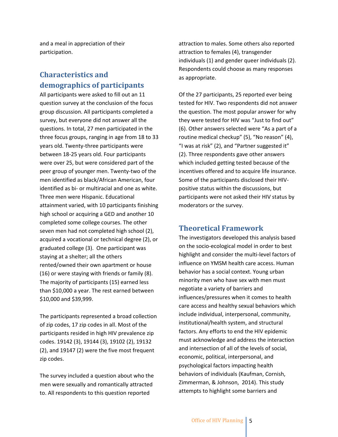and a meal in appreciation of their participation.

## **Characteristics and demographics of participants**

All participants were asked to fill out an 11 question survey at the conclusion of the focus group discussion. All participants completed a survey, but everyone did not answer all the questions. In total, 27 men participated in the three focus groups, ranging in age from 18 to 33 years old. Twenty-three participants were between 18-25 years old. Four participants were over 25, but were considered part of the peer group of younger men. Twenty-two of the men identified as black/African American, four identified as bi- or multiracial and one as white. Three men were Hispanic. Educational attainment varied, with 10 participants finishing high school or acquiring a GED and another 10 completed some college courses. The other seven men had not completed high school (2), acquired a vocational or technical degree (2), or graduated college (3). One participant was staying at a shelter; all the others rented/owned their own apartment or house (16) or were staying with friends or family (8). The majority of participants (15) earned less than \$10,000 a year. The rest earned between \$10,000 and \$39,999.

The participants represented a broad collection of zip codes, 17 zip codes in all. Most of the participants resided in high HIV prevalence zip codes. 19142 (3), 19144 (3), 19102 (2), 19132 (2), and 19147 (2) were the five most frequent zip codes.

The survey included a question about who the men were sexually and romantically attracted to. All respondents to this question reported

attraction to males. Some others also reported attraction to females (4), transgender individuals (1) and gender queer individuals (2). Respondents could choose as many responses as appropriate.

Of the 27 participants, 25 reported ever being tested for HIV. Two respondents did not answer the question. The most popular answer for why they were tested for HIV was "Just to find out" (6). Other answers selected were "As a part of a routine medical checkup" (5), "No reason" (4), "I was at risk" (2), and "Partner suggested it" (2). Three respondents gave other answers which included getting tested because of the incentives offered and to acquire life insurance. Some of the participants disclosed their HIVpositive status within the discussions, but participants were not asked their HIV status by moderators or the survey.

#### **Theoretical Framework**

The investigators developed this analysis based on the socio-ecological model in order to best highlight and consider the multi-level factors of influence on YMSM health care access. Human behavior has a social context. Young urban minority men who have sex with men must negotiate a variety of barriers and influences/pressures when it comes to health care access and healthy sexual behaviors which include individual, interpersonal, community, institutional/health system, and structural factors. Any efforts to end the HIV epidemic must acknowledge and address the interaction and intersection of all of the levels of social, economic, political, interpersonal, and psychological factors impacting health behaviors of individuals (Kaufman, Cornish, Zimmerman, & Johnson, 2014). This study attempts to highlight some barriers and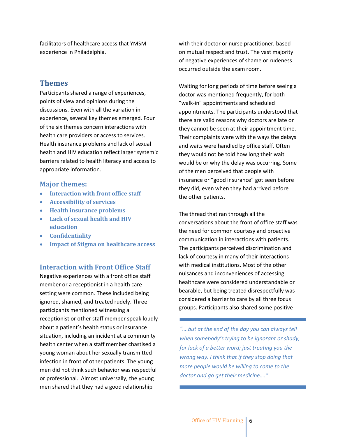facilitators of healthcare access that YMSM experience in Philadelphia.

#### **Themes**

Participants shared a range of experiences, points of view and opinions during the discussions. Even with all the variation in experience, several key themes emerged. Four of the six themes concern interactions with health care providers or access to services. Health insurance problems and lack of sexual health and HIV education reflect larger systemic barriers related to health literacy and access to appropriate information.

#### **Major themes:**

- **Interaction with front office staff**
- **Accessibility of services**
- **Health insurance problems**
- **Lack of sexual health and HIV education**
- **Confidentiality**
- **Impact of Stigma on healthcare access**

#### **Interaction with Front Office Staff**

Negative experiences with a front office staff member or a receptionist in a health care setting were common. These included being ignored, shamed, and treated rudely. Three participants mentioned witnessing a receptionist or other staff member speak loudly about a patient's health status or insurance situation, including an incident at a community health center when a staff member chastised a young woman about her sexually transmitted infection in front of other patients. The young men did not think such behavior was respectful or professional. Almost universally, the young men shared that they had a good relationship

with their doctor or nurse practitioner, based on mutual respect and trust. The vast majority of negative experiences of shame or rudeness occurred outside the exam room.

Waiting for long periods of time before seeing a doctor was mentioned frequently, for both "walk-in" appointments and scheduled appointments. The participants understood that there are valid reasons why doctors are late or they cannot be seen at their appointment time. Their complaints were with the ways the delays and waits were handled by office staff. Often they would not be told how long their wait would be or why the delay was occurring. Some of the men perceived that people with insurance or "good insurance" got seen before they did, even when they had arrived before the other patients.

The thread that ran through all the conversations about the front of office staff was the need for common courtesy and proactive communication in interactions with patients. The participants perceived discrimination and lack of courtesy in many of their interactions with medical institutions. Most of the other nuisances and inconveniences of accessing healthcare were considered understandable or bearable, but being treated disrespectfully was considered a barrier to care by all three focus groups. Participants also shared some positive

*"….but at the end of the day you can always tell when somebody's trying to be ignorant or shady, for lack of a better word; just treating you the wrong way. I think that if they stop doing that more people would be willing to come to the doctor and go get their medicine…."*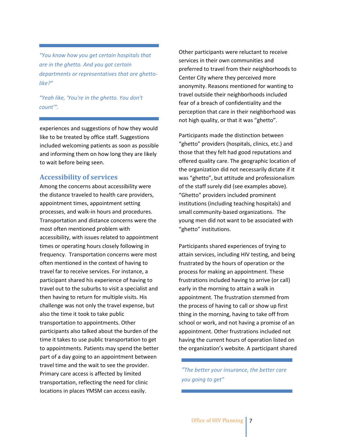*"You know how you get certain hospitals that are in the ghetto. And you got certain departments or representatives that are ghettolike?"*

*"Yeah like, 'You're in the ghetto. You don't count'".*

experiences and suggestions of how they would like to be treated by office staff. Suggestions included welcoming patients as soon as possible and informing them on how long they are likely to wait before being seen.

#### **Accessibility of services**

Among the concerns about accessibility were the distance traveled to health care providers, appointment times, appointment setting processes, and walk-in hours and procedures. Transportation and distance concerns were the most often mentioned problem with accessibility, with issues related to appointment times or operating hours closely following in frequency. Transportation concerns were most often mentioned in the context of having to travel far to receive services. For instance, a participant shared his experience of having to travel out to the suburbs to visit a specialist and then having to return for multiple visits. His challenge was not only the travel expense, but also the time it took to take public transportation to appointments. Other participants also talked about the burden of the time it takes to use public transportation to get to appointments. Patients may spend the better part of a day going to an appointment between travel time and the wait to see the provider. Primary care access is affected by limited transportation, reflecting the need for clinic locations in places YMSM can access easily.

Other participants were reluctant to receive services in their own communities and preferred to travel from their neighborhoods to Center City where they perceived more anonymity. Reasons mentioned for wanting to travel outside their neighborhoods included fear of a breach of confidentiality and the perception that care in their neighborhood was not high quality, or that it was "ghetto".

Participants made the distinction between "ghetto" providers (hospitals, clinics, etc.) and those that they felt had good reputations and offered quality care. The geographic location of the organization did not necessarily dictate if it was "ghetto", but attitude and professionalism of the staff surely did (see examples above). "Ghetto" providers included prominent institutions (including teaching hospitals) and small community-based organizations. The young men did not want to be associated with "ghetto" institutions.

Participants shared experiences of trying to attain services, including HIV testing, and being frustrated by the hours of operation or the process for making an appointment. These frustrations included having to arrive (or call) early in the morning to attain a walk in appointment. The frustration stemmed from the process of having to call or show up first thing in the morning, having to take off from school or work, and not having a promise of an appointment. Other frustrations included not having the current hours of operation listed on the organization's website. A participant shared

*"The better your insurance, the better care you going to get"*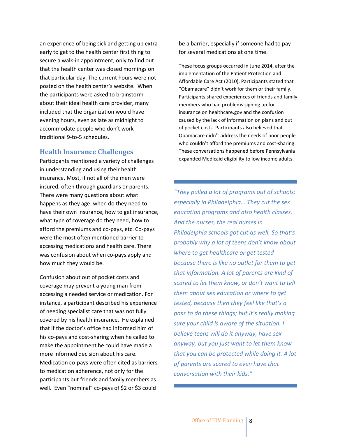an experience of being sick and getting up extra early to get to the health center first thing to secure a walk-in appointment, only to find out that the health center was closed mornings on that particular day. The current hours were not posted on the health center's website. When the participants were asked to brainstorm about their ideal health care provider, many included that the organization would have evening hours, even as late as midnight to accommodate people who don't work traditional 9-to-5 schedules.

#### **Health Insurance Challenges**

Participants mentioned a variety of challenges in understanding and using their health insurance. Most, if not all of the men were insured, often through guardians or parents. There were many questions about what happens as they age: when do they need to have their own insurance, how to get insurance, what type of coverage do they need, how to afford the premiums and co-pays, etc. Co-pays were the most often mentioned barrier to accessing medications and health care. There was confusion about when co-pays apply and how much they would be.

Confusion about out of pocket costs and coverage may prevent a young man from accessing a needed service or medication. For instance, a participant described his experience of needing specialist care that was not fully covered by his health insurance. He explained that if the doctor's office had informed him of his co-pays and cost-sharing when he called to make the appointment he could have made a more informed decision about his care. Medication co-pays were often cited as barriers to medication adherence, not only for the participants but friends and family members as well. Even "nominal" co-pays of \$2 or \$3 could

be a barrier, especially if someone had to pay for several medications at one time.

These focus groups occurred in June 2014, after the implementation of the Patient Protection and Affordable Care Act (2010). Participants stated that "Obamacare" didn't work for them or their family. Participants shared experiences of friends and family members who had problems signing up for insurance on healthcare.gov and the confusion caused by the lack of information on plans and out of pocket costs. Participants also believed that Obamacare didn't address the needs of poor people who couldn't afford the premiums and cost-sharing. These conversations happened before Pennsylvania expanded Medicaid eligibility to low income adults.

*"They pulled a lot of programs out of schools; especially in Philadelphia….They cut the sex education programs and also health classes. And the nurses, the real nurses in Philadelphia schools got cut as well. So that's probably why a lot of teens don't know about where to get healthcare or get tested because there is like no outlet for them to get that information. A lot of parents are kind of scared to let them know, or don't want to tell them about sex education or where to get tested, because then they feel like that's a pass to do these things; but it's really making sure your child is aware of the situation. I believe teens will do it anyway, have sex anyway, but you just want to let them know that you can be protected while doing it. A lot of parents are scared to even have that conversation with their kids."*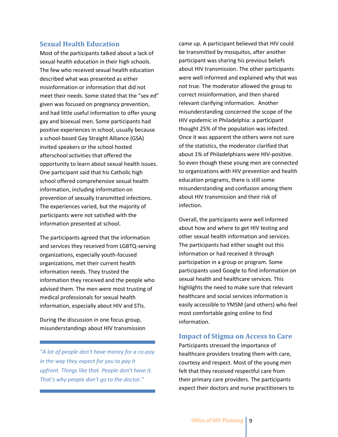#### **Sexual Health Education**

Most of the participants talked about a lack of sexual health education in their high schools. The few who received sexual health education described what was presented as either misinformation or information that did not meet their needs. Some stated that the "sex ed" given was focused on pregnancy prevention, and had little useful information to offer young gay and bisexual men. Some participants had positive experiences in school, usually because a school-based Gay Straight Alliance (GSA) invited speakers or the school hosted afterschool activities that offered the opportunity to learn about sexual health issues. One participant said that his Catholic high school offered comprehensive sexual health information, including information on prevention of sexually transmitted infections. The experiences varied, but the majority of participants were not satisfied with the information presented at school.

The participants agreed that the information and services they received from LGBTQ-serving organizations, especially youth-focused organizations, met their current health information needs. They trusted the information they received and the people who advised them. The men were most trusting of medical professionals for sexual health information, especially about HIV and STIs.

During the discussion in one focus group, misunderstandings about HIV transmission

*"A lot of people don't have money for a co-pay in the way they expect for you to pay it upfront. Things like that. People don't have it. That's why people don't go to the doctor."*

came up. A participant believed that HIV could be transmitted by mosquitos, after another participant was sharing his previous beliefs about HIV transmission. The other participants were well informed and explained why that was not true. The moderator allowed the group to correct misinformation, and then shared relevant clarifying information. Another misunderstanding concerned the scope of the HIV epidemic in Philadelphia: a participant thought 25% of the population was infected. Once it was apparent the others were not sure of the statistics, the moderator clarified that about 1% of Philadelphians were HIV-positive. So even though these young men are connected to organizations with HIV prevention and health education programs, there is still some misunderstanding and confusion among them about HIV transmission and their risk of infection.

Overall, the participants were well informed about how and where to get HIV testing and other sexual health information and services. The participants had either sought out this information or had received it through participation in a group or program. Some participants used Google to find information on sexual health and healthcare services. This highlights the need to make sure that relevant healthcare and social services information is easily accessible to YMSM (and others) who feel most comfortable going online to find information.

#### **Impact of Stigma on Access to Care**

Participants stressed the importance of healthcare providers treating them with care, courtesy and respect. Most of the young men felt that they received respectful care from their primary care providers. The participants expect their doctors and nurse practitioners to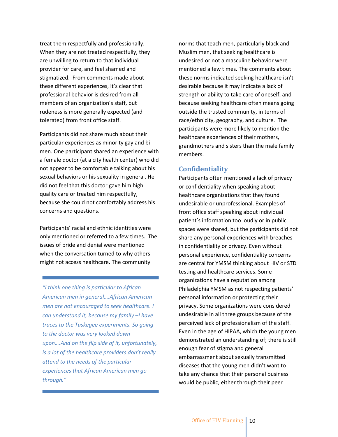treat them respectfully and professionally. When they are not treated respectfully, they are unwilling to return to that individual provider for care, and feel shamed and stigmatized. From comments made about these different experiences, it's clear that professional behavior is desired from all members of an organization's staff, but rudeness is more generally expected (and tolerated) from front office staff.

Participants did not share much about their particular experiences as minority gay and bi men. One participant shared an experience with a female doctor (at a city health center) who did not appear to be comfortable talking about his sexual behaviors or his sexuality in general. He did not feel that this doctor gave him high quality care or treated him respectfully, because she could not comfortably address his concerns and questions.

Participants' racial and ethnic identities were only mentioned or referred to a few times. The issues of pride and denial were mentioned when the conversation turned to why others might not access healthcare. The community

*"I think one thing is particular to African American men in general….African American men are not encouraged to seek healthcare. I can understand it, because my family –I have traces to the Tuskegee experiments. So going to the doctor was very looked down upon….And on the flip side of it, unfortunately, is a lot of the healthcare providers don't really attend to the needs of the particular experiences that African American men go through."*

norms that teach men, particularly black and Muslim men, that seeking healthcare is undesired or not a masculine behavior were mentioned a few times. The comments about these norms indicated seeking healthcare isn't desirable because it may indicate a lack of strength or ability to take care of oneself, and because seeking healthcare often means going outside the trusted community, in terms of race/ethnicity, geography, and culture. The participants were more likely to mention the healthcare experiences of their mothers, grandmothers and sisters than the male family members.

#### **Confidentiality**

Participants often mentioned a lack of privacy or confidentiality when speaking about healthcare organizations that they found undesirable or unprofessional. Examples of front office staff speaking about individual patient's information too loudly or in public spaces were shared, but the participants did not share any personal experiences with breaches in confidentiality or privacy. Even without personal experience, confidentiality concerns are central for YMSM thinking about HIV or STD testing and healthcare services. Some organizations have a reputation among Philadelphia YMSM as not respecting patients' personal information or protecting their privacy. Some organizations were considered undesirable in all three groups because of the perceived lack of professionalism of the staff. Even in the age of HIPAA, which the young men demonstrated an understanding of; there is still enough fear of stigma and general embarrassment about sexually transmitted diseases that the young men didn't want to take any chance that their personal business would be public, either through their peer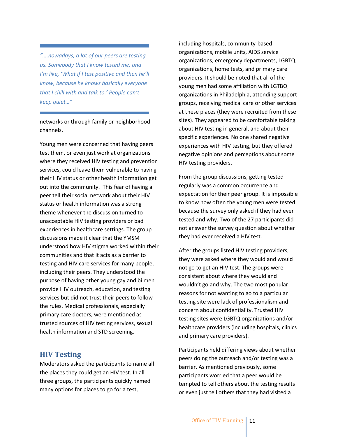*"….nowadays, a lot of our peers are testing us. Somebody that I know tested me, and I'm like, 'What if I test positive and then he'll know, because he knows basically everyone that I chill with and talk to.' People can't keep quiet…"*

networks or through family or neighborhood channels.

Young men were concerned that having peers test them, or even just work at organizations where they received HIV testing and prevention services, could leave them vulnerable to having their HIV status or other health information get out into the community. This fear of having a peer tell their social network about their HIV status or health information was a strong theme whenever the discussion turned to unacceptable HIV testing providers or bad experiences in healthcare settings. The group discussions made it clear that the YMSM understood how HIV stigma worked within their communities and that it acts as a barrier to testing and HIV care services for many people, including their peers. They understood the purpose of having other young gay and bi men provide HIV outreach, education, and testing services but did not trust their peers to follow the rules. Medical professionals, especially primary care doctors, were mentioned as trusted sources of HIV testing services, sexual health information and STD screening.

#### **HIV Testing**

Moderators asked the participants to name all the places they could get an HIV test. In all three groups, the participants quickly named many options for places to go for a test,

including hospitals, community-based organizations, mobile units, AIDS service organizations, emergency departments, LGBTQ organizations, home tests, and primary care providers. It should be noted that all of the young men had some affiliation with LGTBQ organizations in Philadelphia, attending support groups, receiving medical care or other services at these places (they were recruited from these sites). They appeared to be comfortable talking about HIV testing in general, and about their specific experiences. No one shared negative experiences with HIV testing, but they offered negative opinions and perceptions about some HIV testing providers.

From the group discussions, getting tested regularly was a common occurrence and expectation for their peer group. It is impossible to know how often the young men were tested because the survey only asked if they had ever tested and why. Two of the 27 participants did not answer the survey question about whether they had ever received a HIV test.

After the groups listed HIV testing providers, they were asked where they would and would not go to get an HIV test. The groups were consistent about where they would and wouldn't go and why. The two most popular reasons for not wanting to go to a particular testing site were lack of professionalism and concern about confidentiality. Trusted HIV testing sites were LGBTQ organizations and/or healthcare providers (including hospitals, clinics and primary care providers).

Participants held differing views about whether peers doing the outreach and/or testing was a barrier. As mentioned previously, some participants worried that a peer would be tempted to tell others about the testing results or even just tell others that they had visited a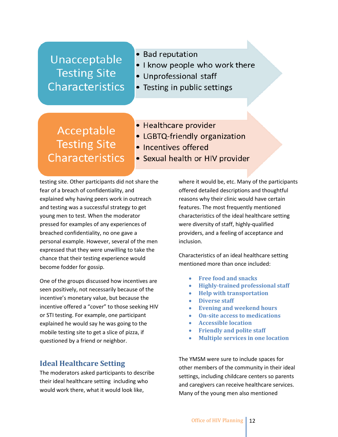# Unacceptable **Testing Site Characteristics**

- Bad reputation
- . I know people who work there
- Unprofessional staff
- Testing in public settings

# Acceptable **Testing Site Characteristics**

- Healthcare provider
- LGBTQ-friendly organization
- Incentives offered
- Sexual health or HIV provider

testing site. Other participants did not share the fear of a breach of confidentiality, and explained why having peers work in outreach and testing was a successful strategy to get young men to test. When the moderator pressed for examples of any experiences of breached confidentiality, no one gave a personal example. However, several of the men expressed that they were unwilling to take the chance that their testing experience would become fodder for gossip.

One of the groups discussed how incentives are seen positively, not necessarily because of the incentive's monetary value, but because the incentive offered a "cover" to those seeking HIV or STI testing. For example, one participant explained he would say he was going to the mobile testing site to get a slice of pizza, if questioned by a friend or neighbor.

# **Ideal Healthcare Setting**

The moderators asked participants to describe their ideal healthcare setting including who would work there, what it would look like,

where it would be, etc. Many of the participants offered detailed descriptions and thoughtful reasons why their clinic would have certain features. The most frequently mentioned characteristics of the ideal healthcare setting were diversity of staff, highly-qualified providers, and a feeling of acceptance and inclusion.

Characteristics of an ideal healthcare setting mentioned more than once included:

- **Free food and snacks**
- **Highly-trained professional staff**
- **Help with transportation**
- **Diverse staff**
- **Evening and weekend hours**
- **On-site access to medications**
- **Accessible location**
- **Friendly and polite staff**
- **Multiple services in one location**

The YMSM were sure to include spaces for other members of the community in their ideal settings, including childcare centers so parents and caregivers can receive healthcare services. Many of the young men also mentioned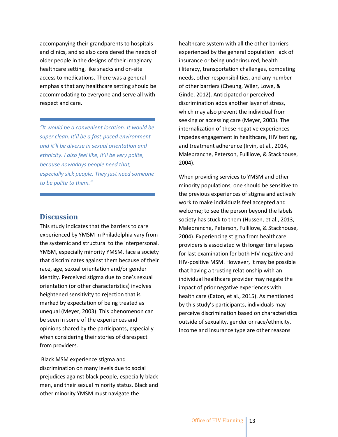accompanying their grandparents to hospitals and clinics, and so also considered the needs of older people in the designs of their imaginary healthcare setting, like snacks and on-site access to medications. There was a general emphasis that any healthcare setting should be accommodating to everyone and serve all with respect and care.

*"It would be a convenient location. It would be super clean. It'll be a fast-paced environment and it'll be diverse in sexual orientation and ethnicity. I also feel like, it'll be very polite, because nowadays people need that, especially sick people. They just need someone to be polite to them."*

#### **Discussion**

This study indicates that the barriers to care experienced by YMSM in Philadelphia vary from the systemic and structural to the interpersonal. YMSM, especially minority YMSM, face a society that discriminates against them because of their race, age, sexual orientation and/or gender identity. Perceived stigma due to one's sexual orientation (or other characteristics) involves heightened sensitivity to rejection that is marked by expectation of being treated as unequal (Meyer, 2003). This phenomenon can be seen in some of the experiences and opinions shared by the participants, especially when considering their stories of disrespect from providers.

Black MSM experience stigma and discrimination on many levels due to social prejudices against black people, especially black men, and their sexual minority status. Black and other minority YMSM must navigate the

healthcare system with all the other barriers experienced by the general population: lack of insurance or being underinsured, health illiteracy, transportation challenges, competing needs, other responsibilities, and any number of other barriers (Cheung, Wiler, Lowe, & Ginde, 2012). Anticipated or perceived discrimination adds another layer of stress, which may also prevent the individual from seeking or accessing care (Meyer, 2003). The internalization of these negative experiences impedes engagement in healthcare, HIV testing, and treatment adherence (Irvin, et al., 2014, Malebranche, Peterson, Fullilove, & Stackhouse, 2004).

When providing services to YMSM and other minority populations, one should be sensitive to the previous experiences of stigma and actively work to make individuals feel accepted and welcome; to see the person beyond the labels society has stuck to them (Hussen, et al., 2013, Malebranche, Peterson, Fullilove, & Stackhouse, 2004). Experiencing stigma from healthcare providers is associated with longer time lapses for last examination for both HIV-negative and HIV-positive MSM. However, it may be possible that having a trusting relationship with an individual healthcare provider may negate the impact of prior negative experiences with health care (Eaton, et al., 2015). As mentioned by this study's participants, individuals may perceive discrimination based on characteristics outside of sexuality, gender or race/ethnicity. Income and insurance type are other reasons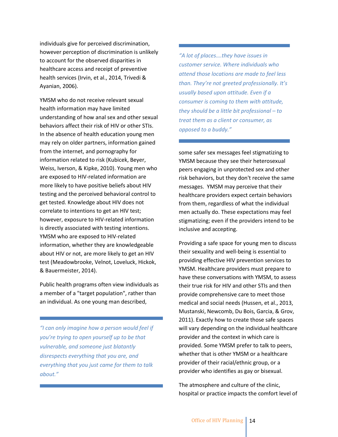individuals give for perceived discrimination, however perception of discrimination is unlikely to account for the observed disparities in healthcare access and receipt of preventive health services (Irvin, et al., 2014, Trivedi & Ayanian, 2006).

YMSM who do not receive relevant sexual health information may have limited understanding of how anal sex and other sexual behaviors affect their risk of HIV or other STIs. In the absence of health education young men may rely on older partners, information gained from the internet, and pornography for information related to risk (Kubicek, Beyer, Weiss, Iverson, & Kipke, 2010). Young men who are exposed to HIV-related information are more likely to have positive beliefs about HIV testing and the perceived behavioral control to get tested. Knowledge about HIV does not correlate to intentions to get an HIV test; however, exposure to HIV-related information is directly associated with testing intentions. YMSM who are exposed to HIV-related information, whether they are knowledgeable about HIV or not, are more likely to get an HIV test (Meadowbrooke, Velnot, Loveluck, Hickok, & Bauermeister, 2014).

Public health programs often view individuals as a member of a "target population", rather than an individual. As one young man described,

*"I can only imagine how a person would feel if you're trying to open yourself up to be that vulnerable, and someone just blatantly disrespects everything that you are, and everything that you just came for them to talk about."*

## *"A lot of places….they have issues in customer service. Where individuals who attend those locations are made to feel less than. They're not greeted professionally. It's usually based upon attitude. Even if a consumer is coming to them with attitude, they should be a little bit professional – to treat them as a client or consumer, as opposed to a buddy."*

some safer sex messages feel stigmatizing to YMSM because they see their heterosexual peers engaging in unprotected sex and other risk behaviors, but they don't receive the same messages. YMSM may perceive that their healthcare providers expect certain behaviors from them, regardless of what the individual men actually do. These expectations may feel stigmatizing; even if the providers intend to be inclusive and accepting.

Providing a safe space for young men to discuss their sexuality and well-being is essential to providing effective HIV prevention services to YMSM. Healthcare providers must prepare to have these conversations with YMSM, to assess their true risk for HIV and other STIs and then provide comprehensive care to meet those medical and social needs (Hussen, et al., 2013, Mustanski, Newcomb, Du Bois, Garcia, & Grov, 2011). Exactly how to create those safe spaces will vary depending on the individual healthcare provider and the context in which care is provided. Some YMSM prefer to talk to peers, whether that is other YMSM or a healthcare provider of their racial/ethnic group, or a provider who identifies as gay or bisexual.

The atmosphere and culture of the clinic, hospital or practice impacts the comfort level of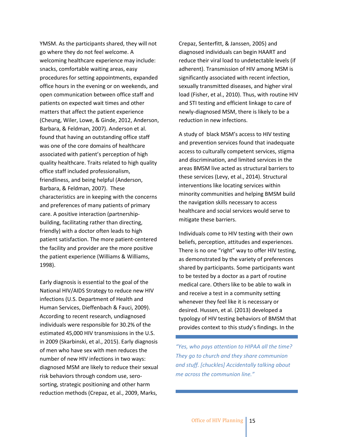YMSM. As the participants shared, they will not go where they do not feel welcome. A welcoming healthcare experience may include: snacks, comfortable waiting areas, easy procedures for setting appointments, expanded office hours in the evening or on weekends, and open communication between office staff and patients on expected wait times and other matters that affect the patient experience (Cheung, Wiler, Lowe, & Ginde, 2012, Anderson, Barbara, & Feldman, 2007). Anderson et al. found that having an outstanding office staff was one of the core domains of healthcare associated with patient's perception of high quality healthcare. Traits related to high quality office staff included professionalism, friendliness, and being helpful (Anderson, Barbara, & Feldman, 2007). These characteristics are in keeping with the concerns and preferences of many patients of primary care. A positive interaction (partnershipbuilding, facilitating rather than directing, friendly) with a doctor often leads to high patient satisfaction. The more patient-centered the facility and provider are the more positive the patient experience (Williams & Williams, 1998).

Early diagnosis is essential to the goal of the National HIV/AIDS Strategy to reduce new HIV infections (U.S. Department of Health and Human Services, Dieffenbach & Fauci, 2009). According to recent research, undiagnosed individuals were responsible for 30.2% of the estimated 45,000 HIV transmissions in the U.S. in 2009 (Skarbinski, et al., 2015). Early diagnosis of men who have sex with men reduces the number of new HIV infections in two ways: diagnosed MSM are likely to reduce their sexual risk behaviors through condom use, serosorting, strategic positioning and other harm reduction methods (Crepaz, et al., 2009, Marks,

Crepaz, Senterfitt, & Janssen, 2005) and diagnosed individuals can begin HAART and reduce their viral load to undetectable levels (if adherent). Transmission of HIV among MSM is significantly associated with recent infection, sexually transmitted diseases, and higher viral load (Fisher, et al., 2010). Thus, with routine HIV and STI testing and efficient linkage to care of newly-diagnosed MSM, there is likely to be a reduction in new infections.

A study of black MSM's access to HIV testing and prevention services found that inadequate access to culturally competent services, stigma and discrimination, and limited services in the areas BMSM live acted as structural barriers to these services (Levy, et al., 2014). Structural interventions like locating services within minority communities and helping BMSM build the navigation skills necessary to access healthcare and social services would serve to mitigate these barriers.

Individuals come to HIV testing with their own beliefs, perception, attitudes and experiences. There is no one "right" way to offer HIV testing, as demonstrated by the variety of preferences shared by participants. Some participants want to be tested by a doctor as a part of routine medical care. Others like to be able to walk in and receive a test in a community setting whenever they feel like it is necessary or desired. Hussen, et al. (2013) developed a typology of HIV testing behaviors of BMSM that provides context to this study's findings. In the

*"Yes, who pays attention to HIPAA all the time? They go to church and they share communion and stuff. [chuckles] Accidentally talking about me across the communion line."*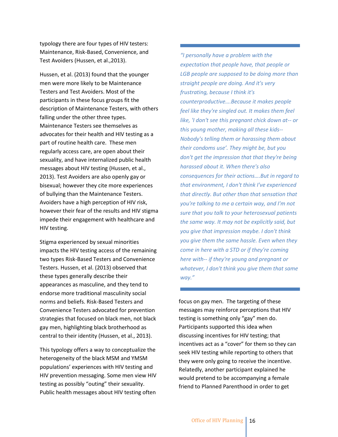typology there are four types of HIV testers: Maintenance, Risk-Based, Convenience, and Test Avoiders (Hussen, et al.,2013).

Hussen, et al. (2013) found that the younger men were more likely to be Maintenance Testers and Test Avoiders. Most of the participants in these focus groups fit the description of Maintenance Testers, with others falling under the other three types. Maintenance Testers see themselves as advocates for their health and HIV testing as a part of routine health care. These men regularly access care, are open about their sexuality, and have internalized public health messages about HIV testing (Hussen, et al., 2013). Test Avoiders are also openly gay or bisexual; however they cite more experiences of bullying than the Maintenance Testers. Avoiders have a high perception of HIV risk, however their fear of the results and HIV stigma impede their engagement with healthcare and HIV testing.

Stigma experienced by sexual minorities impacts the HIV testing access of the remaining two types Risk-Based Testers and Convenience Testers. Hussen, et al. (2013) observed that these types generally describe their appearances as masculine, and they tend to endorse more traditional masculinity social norms and beliefs. Risk-Based Testers and Convenience Testers advocated for prevention strategies that focused on black men, not black gay men, highlighting black brotherhood as central to their identity (Hussen, et al., 2013).

This typology offers a way to conceptualize the heterogeneity of the black MSM and YMSM populations' experiences with HIV testing and HIV prevention messaging. Some men view HIV testing as possibly "outing" their sexuality. Public health messages about HIV testing often

*"I personally have a problem with the expectation that people have, that people or LGB people are supposed to be doing more than straight people are doing. And it's very frustrating, because I think it's counterproductive….Because it makes people feel like they're singled out. It makes them feel like, 'I don't see this pregnant chick down at-- or this young mother, making all these kids-- Nobody's telling them or harassing them about their condoms use'. They might be, but you don't get the impression that that they're being harassed about it. When there's also consequences for their actions….But in regard to that environment, I don't think I've experienced that directly. But other than that sensation that you're talking to me a certain way, and I'm not sure that you talk to your heterosexual patients the same way. It may not be explicitly said, but you give that impression maybe. I don't think you give them the same hassle. Even when they come in here with a STD or if they're coming here with-- if they're young and pregnant or whatever, I don't think you give them that same way."*

focus on gay men. The targeting of these messages may reinforce perceptions that HIV testing is something only "gay" men do. Participants supported this idea when discussing incentives for HIV testing; that incentives act as a "cover" for them so they can seek HIV testing while reporting to others that they were only going to receive the incentive. Relatedly, another participant explained he would pretend to be accompanying a female friend to Planned Parenthood in order to get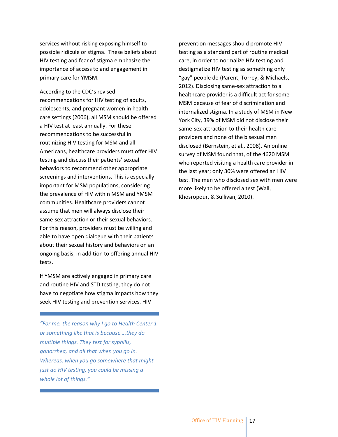services without risking exposing himself to possible ridicule or stigma. These beliefs about HIV testing and fear of stigma emphasize the importance of access to and engagement in primary care for YMSM.

According to the CDC's revised recommendations for HIV testing of adults, adolescents, and pregnant women in healthcare settings (2006), all MSM should be offered a HIV test at least annually. For these recommendations to be successful in routinizing HIV testing for MSM and all Americans, healthcare providers must offer HIV testing and discuss their patients' sexual behaviors to recommend other appropriate screenings and interventions. This is especially important for MSM populations, considering the prevalence of HIV within MSM and YMSM communities. Healthcare providers cannot assume that men will always disclose their same-sex attraction or their sexual behaviors. For this reason, providers must be willing and able to have open dialogue with their patients about their sexual history and behaviors on an ongoing basis, in addition to offering annual HIV tests.

If YMSM are actively engaged in primary care and routine HIV and STD testing, they do not have to negotiate how stigma impacts how they seek HIV testing and prevention services. HIV

*"For me, the reason why I go to Health Center 1 or something like that is because….they do multiple things. They test for syphilis, gonorrhea, and all that when you go in. Whereas, when you go somewhere that might just do HIV testing, you could be missing a whole lot of things."*

prevention messages should promote HIV testing as a standard part of routine medical care, in order to normalize HIV testing and destigmatize HIV testing as something only "gay" people do (Parent, Torrey, & Michaels, 2012). Disclosing same-sex attraction to a healthcare provider is a difficult act for some MSM because of fear of discrimination and internalized stigma. In a study of MSM in New York City, 39% of MSM did not disclose their same-sex attraction to their health care providers and none of the bisexual men disclosed (Bernstein, et al., 2008). An online survey of MSM found that, of the 4620 MSM who reported visiting a health care provider in the last year; only 30% were offered an HIV test. The men who disclosed sex with men were more likely to be offered a test (Wall, Khosropour, & Sullivan, 2010).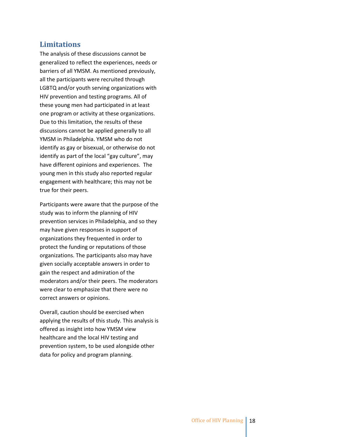#### **Limitations**

The analysis of these discussions cannot be generalized to reflect the experiences, needs or barriers of all YMSM. As mentioned previously, all the participants were recruited through LGBTQ and/or youth serving organizations with HIV prevention and testing programs. All of these young men had participated in at least one program or activity at these organizations. Due to this limitation, the results of these discussions cannot be applied generally to all YMSM in Philadelphia. YMSM who do not identify as gay or bisexual, or otherwise do not identify as part of the local "gay culture", may have different opinions and experiences. The young men in this study also reported regular engagement with healthcare; this may not be true for their peers.

Participants were aware that the purpose of the study was to inform the planning of HIV prevention services in Philadelphia, and so they may have given responses in support of organizations they frequented in order to protect the funding or reputations of those organizations. The participants also may have given socially acceptable answers in order to gain the respect and admiration of the moderators and/or their peers. The moderators were clear to emphasize that there were no correct answers or opinions.

Overall, caution should be exercised when applying the results of this study. This analysis is offered as insight into how YMSM view healthcare and the local HIV testing and prevention system, to be used alongside other data for policy and program planning.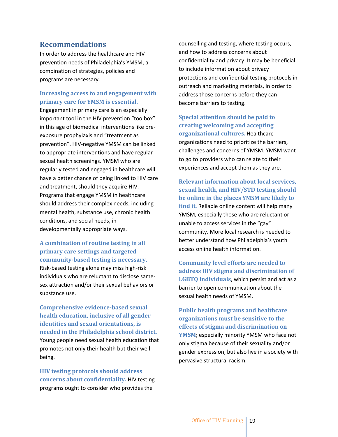#### **Recommendations**

In order to address the healthcare and HIV prevention needs of Philadelphia's YMSM, a combination of strategies, policies and programs are necessary.

#### **Increasing access to and engagement with primary care for YMSM is essential.**

Engagement in primary care is an especially important tool in the HIV prevention "toolbox" in this age of biomedical interventions like preexposure prophylaxis and "treatment as prevention". HIV-negative YMSM can be linked to appropriate interventions and have regular sexual health screenings. YMSM who are regularly tested and engaged in healthcare will have a better chance of being linked to HIV care and treatment, should they acquire HIV. Programs that engage YMSM in healthcare should address their complex needs, including mental health, substance use, chronic health conditions, and social needs, in developmentally appropriate ways.

**A combination of routine testing in all primary care settings and targeted community-based testing is necessary.** Risk-based testing alone may miss high-risk individuals who are reluctant to disclose samesex attraction and/or their sexual behaviors or substance use.

**Comprehensive evidence-based sexual health education, inclusive of all gender identities and sexual orientations, is needed in the Philadelphia school district.** Young people need sexual health education that promotes not only their health but their wellbeing.

**HIV testing protocols should address concerns about confidentiality.** HIV testing programs ought to consider who provides the

counselling and testing, where testing occurs, and how to address concerns about confidentiality and privacy. It may be beneficial to include information about privacy protections and confidential testing protocols in outreach and marketing materials, in order to address those concerns before they can become barriers to testing.

**Special attention should be paid to creating welcoming and accepting organizational cultures.** Healthcare organizations need to prioritize the barriers, challenges and concerns of YMSM. YMSM want to go to providers who can relate to their experiences and accept them as they are.

**Relevant information about local services, sexual health, and HIV/STD testing should be online in the places YMSM are likely to find it.** Reliable online content will help many YMSM, especially those who are reluctant or unable to access services in the "gay" community. More local research is needed to better understand how Philadelphia's youth access online health information.

**Community level efforts are needed to address HIV stigma and discrimination of LGBTQ individuals**, which persist and act as a barrier to open communication about the sexual health needs of YMSM.

**Public health programs and healthcare organizations must be sensitive to the effects of stigma and discrimination on YMSM**; especially minority YMSM who face not only stigma because of their sexuality and/or gender expression, but also live in a society with pervasive structural racism.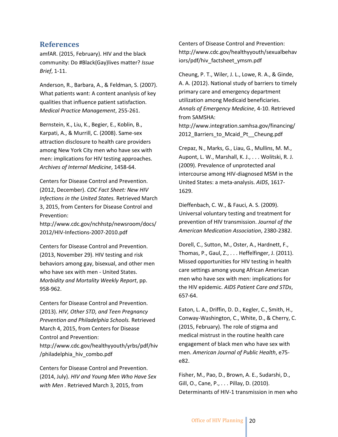#### **References**

amfAR. (2015, February). HIV and the black community: Do #Black(Gay)lives matter? *Issue Brief*, 1-11.

Anderson, R., Barbara, A., & Feldman, S. (2007). What patients want: A content ananlysis of key qualities that influence patient satisfaction. *Medical Practice Management*, 255-261.

Bernstein, K., Liu, K., Begier, E., Koblin, B., Karpati, A., & Murrill, C. (2008). Same-sex attraction disclosure to health care providers among New York City men who have sex with men: implications for HIV testing approaches. *Archives of Internal Medicine*, 1458-64.

Centers for Disease Control and Prevention. (2012, December). *CDC Fact Sheet: New HIV Infections in the United States.* Retrieved March 3, 2015, from Centers for Disease Control and Prevention:

http://www.cdc.gov/nchhstp/newsroom/docs/ 2012/HIV-Infections-2007-2010.pdf

Centers for Disease Control and Prevention. (2013, November 29). HIV testing and risk behaviors among gay, bisexual, and other men who have sex with men - United States. *Morbidity and Mortality Weekly Report*, pp. 958-962.

Centers for Disease Control and Prevention. (2013). *HIV, Other STD, and Teen Pregnancy Prevention and Philadelphia Schools.* Retrieved March 4, 2015, from Centers for Disease Control and Prevention: http://www.cdc.gov/healthyyouth/yrbs/pdf/hiv /philadelphia\_hiv\_combo.pdf

Centers for Disease Control and Prevention. (2014, July). *HIV and Young Men Who Have Sex with Men .* Retrieved March 3, 2015, from

Centers of Disease Control and Prevention: http://www.cdc.gov/healthyyouth/sexualbehav iors/pdf/hiv\_factsheet\_ymsm.pdf

Cheung, P. T., Wiler, J. L., Lowe, R. A., & Ginde, A. A. (2012). National study of barriers to timely primary care and emergency department utilization among Medicaid beneficiaries. *Annals of Emergency Medicine*, 4-10. Retrieved from SAMSHA:

http://www.integration.samhsa.gov/financing/ 2012\_Barriers\_to\_Mcaid\_Pt\_\_Cheung.pdf

Crepaz, N., Marks, G., Liau, G., Mullins, M. M., Aupont, L. W., Marshall, K. J., . . . Wolitski, R. J. (2009). Prevalence of unprotected anal intercourse among HIV-diagnosed MSM in the United States: a meta-analysis. *AIDS*, 1617- 1629.

Dieffenbach, C. W., & Fauci, A. S. (2009). Universal voluntary testing and treatment for prevention of HIV transmission. *Journal of the American Medication Association*, 2380-2382.

Dorell, C., Sutton, M., Oster, A., Hardnett, F., Thomas, P., Gaul, Z., . . . Heffelfinger, J. (2011). Missed opportunities for HIV testing in health care settings among young African American men who have sex with men: implications for the HIV epidemic. *AIDS Patient Care and STDs*, 657-64.

Eaton, L. A., Driffin, D. D., Kegler, C., Smith, H., Conway-Washington, C., White, D., & Cherry, C. (2015, February). The role of stigma and medical mistrust in the routine health care engagement of black men who have sex with men. *American Journal of Public Health*, e75 e82.

Fisher, M., Pao, D., Brown, A. E., Sudarshi, D., Gill, O., Cane, P., . . . Pillay, D. (2010). Determinants of HIV-1 transmission in men who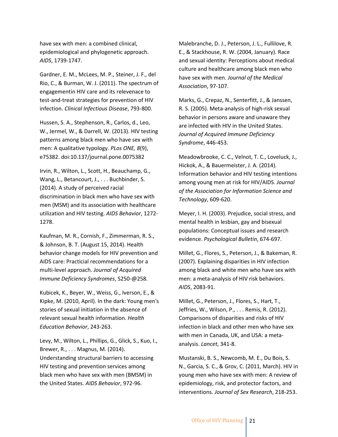have sex with men: a combined clinical, epidemiological and phylogenetic approach. *AIDS*, 1739-1747.

Gardner, E. M., McLees, M. P., Steiner, J. F., del Rio, C., & Burman, W. J. (2011). The spectrum of engagementin HIV care and its relevenace to test-and-treat strategies for prevention of HIV infection. *Clinical Infectious Disease*, 793-800.

Hussen, S. A., Stephenson, R., Carlos, d., Leo, W., Jermel, W., & Darrell, W. (2013). HIV testing patterns among black men who have sex with men: A qualitative typology. *PLos ONE, 8*(9), e75382. doi:10.137/journal.pone.0075382

Irvin, R., Wilton, L., Scott, H., Beauchamp, G., Wang, L., Betancourt, J., . . . Buchbinder, S. (2014). A study of perceived racial discrimination in black men who have sex with men (MSM) and its association with healthcare utilization and HIV testing. *AIDS Behavior*, 1272- 1278.

Kaufman, M. R., Cornish, F., Zimmerman, R. S., & Johnson, B. T. (August 15, 2014). Health behavior change models for HIV prevention and AIDS care: Practicial recommendations for a multi-level approach. *Journal of Acquired Immune Deficiency Syndromes*, S250-@258.

Kubicek, K., Beyer, W., Weiss, G., Iverson, E., & Kipke, M. (2010, April). In the dark: Young men's stories of sexual initiation in the absence of relevant sexual health information. *Health Education Behavior*, 243-263.

Levy, M., Wilton, L., Phillips, G., Glick, S., Kuo, I., Brewer, R., . . . Magnus, M. (2014). Understanding structural barriers to accessing HIV testing and prevention services among black men who have sex with men (BMSM) in the United States. *AIDS Behavior*, 972-96.

Malebranche, D. J., Peterson, J. L., Fullilove, R. E., & Stackhouse, R. W. (2004, January). Race and sexual identity: Perceptions about medical culture and healthcare among black men who have sex with men. *Journal of the Medical Association*, 97-107.

Marks, G., Crepaz, N., Senterfitt, J., & Janssen, R. S. (2005). Meta-analysis of high-risk sexual behavior in persons aware and unaware they are infected with HIV in the United States. *Journal of Acquired Immune Deficiency Syndrome*, 446-453.

Meadowbrooke, C. C., Velnot, T. C., Loveluck, J., Hickok, A., & Bauermeister, J. A. (2014). Information behavior and HIV testing intentions among young men at risk for HIV/AIDS. *Journal of the Association for Information Science and Technology*, 609-620.

Meyer, I. H. (2003). Prejudice, social stress, and mental health in lesbian, gay and bisexual populations: Conceptual issues and research evidence. *Psychological Bulletin*, 674-697.

Millet, G., Flores, S., Peterson, J., & Bakeman, R. (2007). Explaining disparities in HIV infection among black and white men who have sex with men: a meta-analysis of HIV risk behaviors. *AIDS*, 2083-91.

Millet, G., Peterson, J., Flores, S., Hart, T., Jeffries, W., Wilson, P., . . . Remis, R. (2012). Comparisons of disparities and risks of HIV infection in black and other men who have sex with men in Canada, UK, and USA: a metaanalysis. *Lancet*, 341-8.

Mustanski, B. S., Newcomb, M. E., Du Bois, S. N., Garcia, S. C., & Grov, C. (2011, March). HIV in young men who have sex with men: A review of epidemiology, risk, and protector factors, and interventions. *Journal of Sex Research*, 218-253.